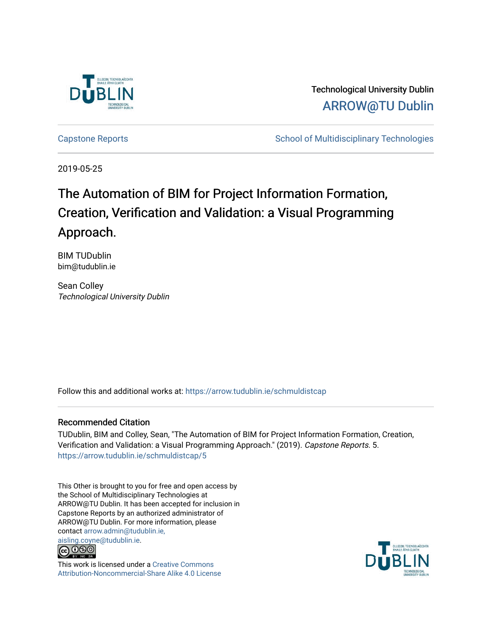

Technological University Dublin [ARROW@TU Dublin](https://arrow.tudublin.ie/) 

[Capstone Reports](https://arrow.tudublin.ie/schmuldistcap) **School of Multidisciplinary Technologies** School of Multidisciplinary Technologies

2019-05-25

# The Automation of BIM for Project Information Formation, Creation, Verification and Validation: a Visual Programming Approach.

BIM TUDublin bim@tudublin.ie

Sean Colley Technological University Dublin

Follow this and additional works at: [https://arrow.tudublin.ie/schmuldistcap](https://arrow.tudublin.ie/schmuldistcap?utm_source=arrow.tudublin.ie%2Fschmuldistcap%2F5&utm_medium=PDF&utm_campaign=PDFCoverPages)

## Recommended Citation

TUDublin, BIM and Colley, Sean, "The Automation of BIM for Project Information Formation, Creation, Verification and Validation: a Visual Programming Approach." (2019). Capstone Reports. 5. [https://arrow.tudublin.ie/schmuldistcap/5](https://arrow.tudublin.ie/schmuldistcap/5?utm_source=arrow.tudublin.ie%2Fschmuldistcap%2F5&utm_medium=PDF&utm_campaign=PDFCoverPages)

This Other is brought to you for free and open access by the School of Multidisciplinary Technologies at ARROW@TU Dublin. It has been accepted for inclusion in Capstone Reports by an authorized administrator of ARROW@TU Dublin. For more information, please contact [arrow.admin@tudublin.ie,](mailto:arrow.admin@tudublin.ie,%20aisling.coyne@tudublin.ie) 



This work is licensed under a [Creative Commons](http://creativecommons.org/licenses/by-nc-sa/4.0/) [Attribution-Noncommercial-Share Alike 4.0 License](http://creativecommons.org/licenses/by-nc-sa/4.0/)

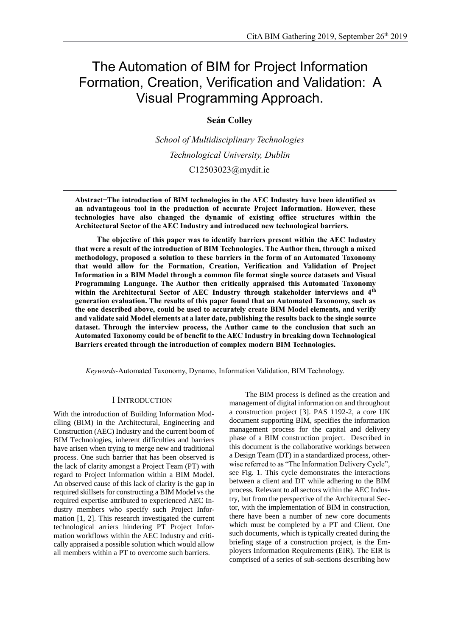## The Automation of BIM for Project Information Formation, Creation, Verification and Validation: A Visual Programming Approach.

## **Seán Colley**

*School of Multidisciplinary Technologies Technological University, Dublin* C12503023@mydit.ie

**Abstract ̶ The introduction of BIM technologies in the AEC Industry have been identified as an advantageous tool in the production of accurate Project Information. However, these technologies have also changed the dynamic of existing office structures within the Architectural Sector of the AEC Industry and introduced new technological barriers.**

**The objective of this paper was to identify barriers present within the AEC Industry that were a result of the introduction of BIM Technologies. The Author then, through a mixed methodology, proposed a solution to these barriers in the form of an Automated Taxonomy that would allow for the Formation, Creation, Verification and Validation of Project Information in a BIM Model through a common file format single source datasets and Visual Programming Language. The Author then critically appraised this Automated Taxonomy within the Architectural Sector of AEC Industry through stakeholder interviews and 4th generation evaluation. The results of this paper found that an Automated Taxonomy, such as the one described above, could be used to accurately create BIM Model elements, and verify and validate said Model elements at a later date, publishing the results back to the single source dataset. Through the interview process, the Author came to the conclusion that such an Automated Taxonomy could be of benefit to the AEC Industry in breaking down Technological Barriers created through the introduction of complex modern BIM Technologies.**

*Keywords-*Automated Taxonomy, Dynamo, Information Validation, BIM Technology.

### I INTRODUCTION

With the introduction of Building Information Modelling (BIM) in the Architectural, Engineering and Construction (AEC) Industry and the current boom of BIM Technologies, inherent difficulties and barriers have arisen when trying to merge new and traditional process. One such barrier that has been observed is the lack of clarity amongst a Project Team (PT) with regard to Project Information within a BIM Model. An observed cause of this lack of clarity is the gap in required skillsets for constructing a BIM Model vs the required expertise attributed to experienced AEC Industry members who specify such Project Information [1, 2]. This research investigated the current technological arriers hindering PT Project Information workflows within the AEC Industry and critically appraised a possible solution which would allow all members within a PT to overcome such barriers.

The BIM process is defined as the creation and management of digital information on and throughout a construction project [3]. PAS 1192-2, a core UK document supporting BIM, specifies the information management process for the capital and delivery phase of a BIM construction project. Described in this document is the collaborative workings between a Design Team (DT) in a standardized process, otherwise referred to as "The Information Delivery Cycle", see [Fig. 1.](#page-2-0) This cycle demonstrates the interactions between a client and DT while adhering to the BIM process. Relevant to all sectors within the AEC Industry, but from the perspective of the Architectural Sector, with the implementation of BIM in construction, there have been a number of new core documents which must be completed by a PT and Client. One such documents, which is typically created during the briefing stage of a construction project, is the Employers Information Requirements (EIR). The EIR is comprised of a series of sub-sections describing how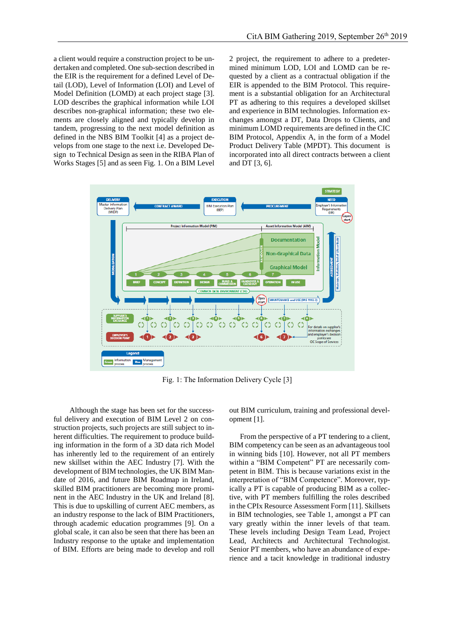a client would require a construction project to be undertaken and completed. One sub-section described in the EIR is the requirement for a defined Level of Detail (LOD), Level of Information (LOI) and Level of Model Definition (LOMD) at each project stage [3]. LOD describes the graphical information while LOI describes non-graphical information; these two elements are closely aligned and typically develop in tandem, progressing to the next model definition as defined in the NBS BIM Toolkit [4] as a project develops from one stage to the next i.e. Developed Design to Technical Design as seen in the RIBA Plan of Works Stages [5] and as seen [Fig. 1.](#page-2-0) On a BIM Level

2 project, the requirement to adhere to a predetermined minimum LOD, LOI and LOMD can be requested by a client as a contractual obligation if the EIR is appended to the BIM Protocol. This requirement is a substantial obligation for an Architectural PT as adhering to this requires a developed skillset and experience in BIM technologies. Information exchanges amongst a DT, Data Drops to Clients, and minimum LOMD requirements are defined in the CIC BIM Protocol, Appendix A, in the form of a Model Product Delivery Table (MPDT). This document is incorporated into all direct contracts between a client and DT [3, 6].



Fig. 1: The Information Delivery Cycle [3]

<span id="page-2-0"></span>Although the stage has been set for the successful delivery and execution of BIM Level 2 on construction projects, such projects are still subject to inherent difficulties. The requirement to produce building information in the form of a 3D data rich Model has inherently led to the requirement of an entirely new skillset within the AEC Industry [7]. With the development of BIM technologies, the UK BIM Mandate of 2016, and future BIM Roadmap in Ireland, skilled BIM practitioners are becoming more prominent in the AEC Industry in the UK and Ireland [8]. This is due to upskilling of current AEC members, as an industry response to the lack of BIM Practitioners, through academic education programmes [9]. On a global scale, it can also be seen that there has been an Industry response to the uptake and implementation of BIM. Efforts are being made to develop and roll

out BIM curriculum, training and professional development [1].

From the perspective of a PT tendering to a client, BIM competency can be seen as an advantageous tool in winning bids [10]. However, not all PT members within a "BIM Competent" PT are necessarily competent in BIM. This is because variations exist in the interpretation of "BIM Competence". Moreover, typically a PT is capable of producing BIM as a collective, with PT members fulfilling the roles described in the CPIx Resource Assessment Form [11]. Skillsets in BIM technologies, see [Table 1,](#page-3-0) amongst a PT can vary greatly within the inner levels of that team. These levels including Design Team Lead, Project Lead, Architects and Architectural Technologist. Senior PT members, who have an abundance of experience and a tacit knowledge in traditional industry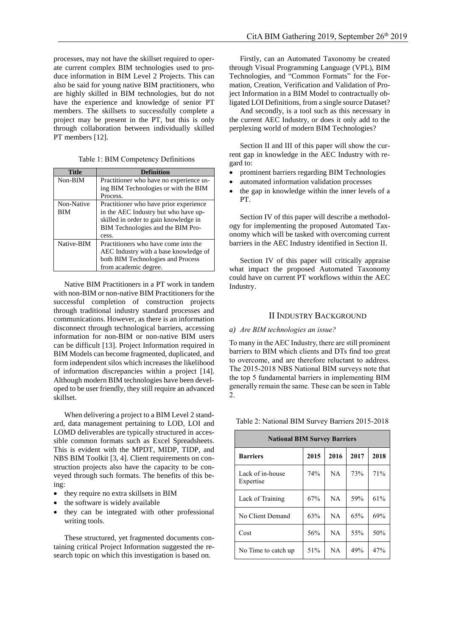processes, may not have the skillset required to operate current complex BIM technologies used to produce information in BIM Level 2 Projects. This can also be said for young native BIM practitioners, who are highly skilled in BIM technologies, but do not have the experience and knowledge of senior PT members. The skillsets to successfully complete a project may be present in the PT, but this is only through collaboration between individually skilled PT members [12].

Table 1: BIM Competency Definitions

<span id="page-3-0"></span>

| Title      | Definition                              |  |  |
|------------|-----------------------------------------|--|--|
| Non-BIM    | Practitioner who have no experience us- |  |  |
|            | ing BIM Technologies or with the BIM    |  |  |
|            | Process.                                |  |  |
| Non-Native | Practitioner who have prior experience  |  |  |
| BІM        | in the AEC Industry but who have up-    |  |  |
|            | skilled in order to gain knowledge in   |  |  |
|            | BIM Technologies and the BIM Pro-       |  |  |
|            | cess.                                   |  |  |
| Native-BIM | Practitioners who have come into the    |  |  |
|            | AEC Industry with a base knowledge of   |  |  |
|            | both BIM Technologies and Process       |  |  |
|            | from academic degree.                   |  |  |

Native BIM Practitioners in a PT work in tandem with non-BIM or non-native BIM Practitioners for the successful completion of construction projects through traditional industry standard processes and communications. However, as there is an information disconnect through technological barriers, accessing information for non-BIM or non-native BIM users can be difficult [13]. Project Information required in BIM Models can become fragmented, duplicated, and form independent silos which increases the likelihood of information discrepancies within a project [14]. Although modern BIM technologies have been developed to be user friendly, they still require an advanced skillset.

When delivering a project to a BIM Level 2 standard, data management pertaining to LOD, LOI and LOMD deliverables are typically structured in accessible common formats such as Excel Spreadsheets. This is evident with the MPDT, MIDP, TIDP, and NBS BIM Toolkit [3, 4]. Client requirements on construction projects also have the capacity to be conveyed through such formats. The benefits of this being:

- they require no extra skillsets in BIM
- the software is widely available
- they can be integrated with other professional writing tools.

These structured, yet fragmented documents containing critical Project Information suggested the research topic on which this investigation is based on.

Firstly, can an Automated Taxonomy be created through Visual Programming Language (VPL), BIM Technologies, and "Common Formats" for the Formation, Creation, Verification and Validation of Project Information in a BIM Model to contractually obligated LOI Definitions, from a single source Dataset?

And secondly, is a tool such as this necessary in the current AEC Industry, or does it only add to the perplexing world of modern BIM Technologies?

Section II and III of this paper will show the current gap in knowledge in the AEC Industry with regard to:

- prominent barriers regarding BIM Technologies
- automated information validation processes
- the gap in knowledge within the inner levels of a PT.

Section IV of this paper will describe a methodology for implementing the proposed Automated Taxonomy which will be tasked with overcoming current barriers in the AEC Industry identified in Section II.

Section IV of this paper will critically appraise what impact the proposed Automated Taxonomy could have on current PT workflows within the AEC Industry.

## II INDUSTRY BACKGROUND

#### *a) Are BIM technologies an issue?*

To many in the AEC Industry, there are still prominent barriers to BIM which clients and DTs find too great to overcome, and are therefore reluctant to address. The 2015-2018 NBS National BIM surveys note that the top 5 fundamental barriers in implementing BIM generally remain the same. These can be seen i[n Table](#page-3-1)  [2.](#page-3-1)

<span id="page-3-1"></span>Table 2: National BIM Survey Barriers 2015-2018

| <b>National BIM Survey Barriers</b> |      |           |      |      |  |  |  |
|-------------------------------------|------|-----------|------|------|--|--|--|
| <b>Barriers</b>                     | 2015 | 2016      | 2017 | 2018 |  |  |  |
| Lack of in-house<br>Expertise       | 74%  | <b>NA</b> | 73%  | 71%  |  |  |  |
| Lack of Training                    | 67%  | NA        | 59%  | 61%  |  |  |  |
| No Client Demand                    | 63%  | NA        | 65%  | 69%  |  |  |  |
| Cost                                | 56%  | NA        | 55%  | 50%  |  |  |  |
| No Time to catch up                 | 51%  | <b>NA</b> | 49%  | 47%  |  |  |  |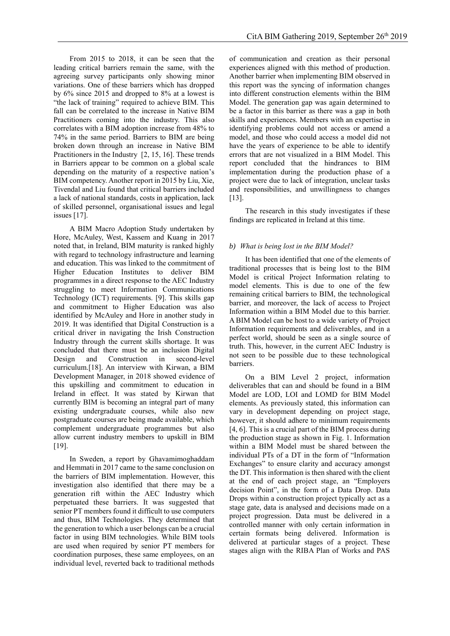From 2015 to 2018, it can be seen that the leading critical barriers remain the same, with the agreeing survey participants only showing minor variations. One of these barriers which has dropped by 6% since 2015 and dropped to 8% at a lowest is "the lack of training" required to achieve BIM. This fall can be correlated to the increase in Native BIM Practitioners coming into the industry. This also correlates with a BIM adoption increase from 48% to 74% in the same period. Barriers to BIM are being broken down through an increase in Native BIM Practitioners in the Industry [2, 15, 16]. These trends in Barriers appear to be common on a global scale depending on the maturity of a respective nation's BIM competency. Another report in 2015 by Liu, Xie, Tivendal and Liu found that critical barriers included a lack of national standards, costs in application, lack of skilled personnel, organisational issues and legal issues [17].

A BIM Macro Adoption Study undertaken by Hore, McAuley, West, Kassem and Kuang in 2017 noted that, in Ireland, BIM maturity is ranked highly with regard to technology infrastructure and learning and education. This was linked to the commitment of Higher Education Institutes to deliver BIM programmes in a direct response to the AEC Industry struggling to meet Information Communications Technology (ICT) requirements. [9]. This skills gap and commitment to Higher Education was also identified by McAuley and Hore in another study in 2019. It was identified that Digital Construction is a critical driver in navigating the Irish Construction Industry through the current skills shortage. It was concluded that there must be an inclusion Digital Design and Construction in second-level curriculum.[18]. An interview with Kirwan, a BIM Development Manager, in 2018 showed evidence of this upskilling and commitment to education in Ireland in effect. It was stated by Kirwan that currently BIM is becoming an integral part of many existing undergraduate courses, while also new postgraduate courses are being made available, which complement undergraduate programmes but also allow current industry members to upskill in BIM [19].

In Sweden, a report by Ghavamimoghaddam and Hemmati in 2017 came to the same conclusion on the barriers of BIM implementation. However, this investigation also identified that there may be a generation rift within the AEC Industry which perpetuated these barriers. It was suggested that senior PT members found it difficult to use computers and thus, BIM Technologies. They determined that the generation to which a user belongs can be a crucial factor in using BIM technologies. While BIM tools are used when required by senior PT members for coordination purposes, these same employees, on an individual level, reverted back to traditional methods

of communication and creation as their personal experiences aligned with this method of production. Another barrier when implementing BIM observed in this report was the syncing of information changes into different construction elements within the BIM Model. The generation gap was again determined to be a factor in this barrier as there was a gap in both skills and experiences. Members with an expertise in identifying problems could not access or amend a model, and those who could access a model did not have the years of experience to be able to identify errors that are not visualized in a BIM Model. This report concluded that the hindrances to BIM implementation during the production phase of a project were due to lack of integration, unclear tasks and responsibilities, and unwillingness to changes [13].

The research in this study investigates if these findings are replicated in Ireland at this time.

### *b) What is being lost in the BIM Model?*

It has been identified that one of the elements of traditional processes that is being lost to the BIM Model is critical Project Information relating to model elements. This is due to one of the few remaining critical barriers to BIM, the technological barrier, and moreover, the lack of access to Project Information within a BIM Model due to this barrier. A BIM Model can be host to a wide variety of Project Information requirements and deliverables, and in a perfect world, should be seen as a single source of truth. This, however, in the current AEC Industry is not seen to be possible due to these technological barriers.

On a BIM Level 2 project, information deliverables that can and should be found in a BIM Model are LOD, LOI and LOMD for BIM Model elements. As previously stated, this information can vary in development depending on project stage, however, it should adhere to minimum requirements [4, 6]. This is a crucial part of the BIM process during the production stage as shown in [Fig. 1.](#page-2-0) Information within a BIM Model must be shared between the individual PTs of a DT in the form of "Information Exchanges" to ensure clarity and accuracy amongst the DT. This information is then shared with the client at the end of each project stage, an "Employers decision Point", in the form of a Data Drop. Data Drops within a construction project typically act as a stage gate, data is analysed and decisions made on a project progression. Data must be delivered in a controlled manner with only certain information in certain formats being delivered. Information is delivered at particular stages of a project. These stages align with the RIBA Plan of Works and PAS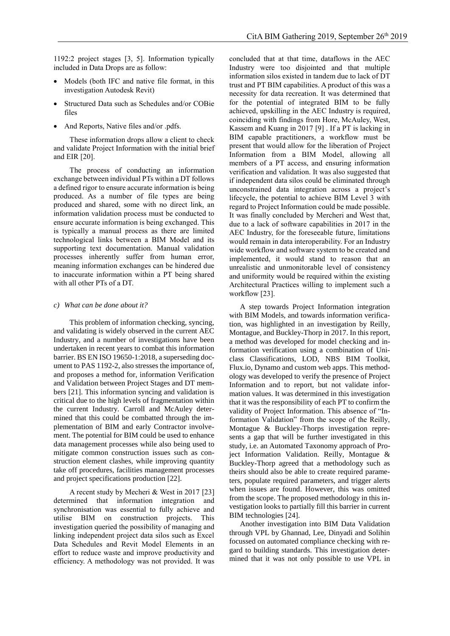1192:2 project stages [3, 5]. Information typically included in Data Drops are as follow:

- Models (both IFC and native file format, in this investigation Autodesk Revit)
- Structured Data such as Schedules and/or COBie files
- And Reports, Native files and/or .pdfs.

These information drops allow a client to check and validate Project Information with the initial brief and EIR [20].

The process of conducting an information exchange between individual PTs within a DT follows a defined rigor to ensure accurate information is being produced. As a number of file types are being produced and shared, some with no direct link, an information validation process must be conducted to ensure accurate information is being exchanged. This is typically a manual process as there are limited technological links between a BIM Model and its supporting text documentation. Manual validation processes inherently suffer from human error, meaning information exchanges can be hindered due to inaccurate information within a PT being shared with all other PTs of a DT.

#### *c) What can be done about it?*

This problem of information checking, syncing, and validating is widely observed in the current AEC Industry, and a number of investigations have been undertaken in recent years to combat this information barrier. BS EN ISO 19650-1:2018, a superseding document to PAS 1192-2, also stresses the importance of, and proposes a method for, information Verification and Validation between Project Stages and DT members [21]. This information syncing and validation is critical due to the high levels of fragmentation within the current Industry. Carroll and McAuley determined that this could be combatted through the implementation of BIM and early Contractor involvement. The potential for BIM could be used to enhance data management processes while also being used to mitigate common construction issues such as construction element clashes, while improving quantity take off procedures, facilities management processes and project specifications production [22].

A recent study by Mecheri & West in 2017 [23] determined that information integration and synchronisation was essential to fully achieve and utilise BIM on construction projects. This investigation queried the possibility of managing and linking independent project data silos such as Excel Data Schedules and Revit Model Elements in an effort to reduce waste and improve productivity and efficiency. A methodology was not provided. It was

concluded that at that time, dataflows in the AEC Industry were too disjointed and that multiple information silos existed in tandem due to lack of DT trust and PT BIM capabilities. A product of this was a necessity for data recreation. It was determined that for the potential of integrated BIM to be fully achieved, upskilling in the AEC Industry is required, coinciding with findings from Hore, McAuley, West, Kassem and Kuang in 2017 [9] . If a PT is lacking in BIM capable practitioners, a workflow must be present that would allow for the liberation of Project Information from a BIM Model, allowing all members of a PT access, and ensuring information verification and validation. It was also suggested that if independent data silos could be eliminated through unconstrained data integration across a project's lifecycle, the potential to achieve BIM Level 3 with regard to Project Information could be made possible. It was finally concluded by Mercheri and West that, due to a lack of software capabilities in 2017 in the AEC Industry, for the foreseeable future, limitations would remain in data interoperability. For an Industry wide workflow and software system to be created and implemented, it would stand to reason that an unrealistic and unmonitorable level of consistency and uniformity would be required within the existing Architectural Practices willing to implement such a workflow [23].

A step towards Project Information integration with BIM Models, and towards information verification, was highlighted in an investigation by Reilly, Montague, and Buckley-Thorp in 2017. In this report, a method was developed for model checking and information verification using a combination of Uniclass Classifications, LOD, NBS BIM Toolkit, Flux.io, Dynamo and custom web apps. This methodology was developed to verify the presence of Project Information and to report, but not validate information values. It was determined in this investigation that it was the responsibility of each PT to confirm the validity of Project Information. This absence of "Information Validation" from the scope of the Reilly, Montague & Buckley-Thorps investigation represents a gap that will be further investigated in this study, i.e. an Automated Taxonomy approach of Project Information Validation. Reilly, Montague & Buckley-Thorp agreed that a methodology such as theirs should also be able to create required parameters, populate required parameters, and trigger alerts when issues are found. However, this was omitted from the scope. The proposed methodology in this investigation looks to partially fill this barrier in current BIM technologies [24].

Another investigation into BIM Data Validation through VPL by Ghannad, Lee, Dinyadi and Solihin focussed on automated compliance checking with regard to building standards. This investigation determined that it was not only possible to use VPL in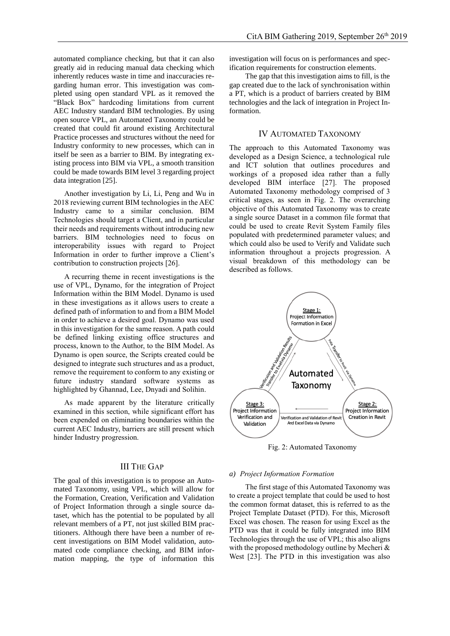automated compliance checking, but that it can also greatly aid in reducing manual data checking which inherently reduces waste in time and inaccuracies regarding human error. This investigation was completed using open standard VPL as it removed the "Black Box" hardcoding limitations from current AEC Industry standard BIM technologies. By using open source VPL, an Automated Taxonomy could be created that could fit around existing Architectural Practice processes and structures without the need for Industry conformity to new processes, which can in itself be seen as a barrier to BIM. By integrating existing process into BIM via VPL, a smooth transition could be made towards BIM level 3 regarding project data integration [25].

Another investigation by Li, Li, Peng and Wu in 2018 reviewing current BIM technologies in the AEC Industry came to a similar conclusion. BIM Technologies should target a Client, and in particular their needs and requirements without introducing new barriers. BIM technologies need to focus on interoperability issues with regard to Project Information in order to further improve a Client's contribution to construction projects [26].

A recurring theme in recent investigations is the use of VPL, Dynamo, for the integration of Project Information within the BIM Model. Dynamo is used in these investigations as it allows users to create a defined path of information to and from a BIM Model in order to achieve a desired goal. Dynamo was used in this investigation for the same reason. A path could be defined linking existing office structures and process, known to the Author, to the BIM Model. As Dynamo is open source, the Scripts created could be designed to integrate such structures and as a product, remove the requirement to conform to any existing or future industry standard software systems as highlighted by Ghannad, Lee, Dnyadi and Solihin.

As made apparent by the literature critically examined in this section, while significant effort has been expended on eliminating boundaries within the current AEC Industry, barriers are still present which hinder Industry progression.

## III THE GAP

The goal of this investigation is to propose an Automated Taxonomy, using VPL, which will allow for the Formation, Creation, Verification and Validation of Project Information through a single source dataset, which has the potential to be populated by all relevant members of a PT, not just skilled BIM practitioners. Although there have been a number of recent investigations on BIM Model validation, automated code compliance checking, and BIM information mapping, the type of information this

investigation will focus on is performances and specification requirements for construction elements.

The gap that this investigation aims to fill, is the gap created due to the lack of synchronisation within a PT, which is a product of barriers created by BIM technologies and the lack of integration in Project Information.

## IV AUTOMATED TAXONOMY

The approach to this Automated Taxonomy was developed as a Design Science, a technological rule and ICT solution that outlines procedures and workings of a proposed idea rather than a fully developed BIM interface [27]. The proposed Automated Taxonomy methodology comprised of 3 critical stages, as seen in [Fig. 2.](#page-6-0) The overarching objective of this Automated Taxonomy was to create a single source Dataset in a common file format that could be used to create Revit System Family files populated with predetermined parameter values; and which could also be used to Verify and Validate such information throughout a projects progression. A visual breakdown of this methodology can be described as follows.



Fig. 2: Automated Taxonomy

#### <span id="page-6-0"></span>*a) Project Information Formation*

The first stage of this Automated Taxonomy was to create a project template that could be used to host the common format dataset, this is referred to as the Project Template Dataset (PTD). For this, Microsoft Excel was chosen. The reason for using Excel as the PTD was that it could be fully integrated into BIM Technologies through the use of VPL; this also aligns with the proposed methodology outline by Mecheri & West [23]. The PTD in this investigation was also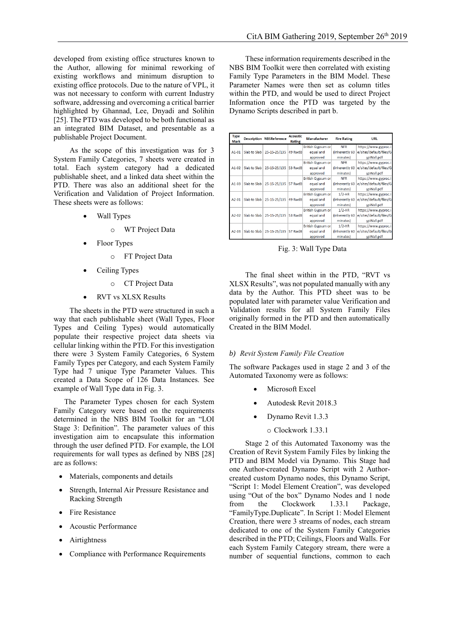developed from existing office structures known to the Author, allowing for minimal reworking of existing workflows and minimum disruption to existing office protocols. Due to the nature of VPL, it was not necessary to conform with current Industry software, addressing and overcoming a critical barrier highlighted by Ghannad, Lee, Dnyadi and Solihin [25]. The PTD was developed to be both functional as an integrated BIM Dataset, and presentable as a publishable Project Document.

As the scope of this investigation was for 3 System Family Categories, 7 sheets were created in total. Each system category had a dedicated publishable sheet, and a linked data sheet within the PTD. There was also an additional sheet for the Verification and Validation of Project Information. These sheets were as follows:

- Wall Types
	- o WT Project Data
- Floor Types
	- o FT Project Data
- Ceiling Types
	- o CT Project Data
- RVT vs XLSX Results

The sheets in the PTD were structured in such a way that each publishable sheet (Wall Types, Floor Types and Ceiling Types) would automatically populate their respective project data sheets via cellular linking within the PTD. For this investigation there were 3 System Family Categories, 6 System Family Types per Category, and each System Family Type had 7 unique Type Parameter Values. This created a Data Scope of 126 Data Instances. See example of Wall Type data in [Fig. 3.](#page-7-0)

The Parameter Types chosen for each System Family Category were based on the requirements determined in the NBS BIM Toolkit for an "LOI Stage 3: Definition". The parameter values of this investigation aim to encapsulate this information through the user defined PTD. For example, the LOI requirements for wall types as defined by NBS [28] are as follows:

- Materials, components and details
- Strength, Internal Air Pressure Resistance and Racking Strength
- Fire Resistance
- Acoustic Performance
- **Airtightness**
- Compliance with Performance Requirements

These information requirements described in the NBS BIM Toolkit were then correlated with existing Family Type Parameters in the BIM Model. These Parameter Names were then set as column titles within the PTD, and would be used to direct Project Information once the PTD was targeted by the Dynamo Scripts described in part b.

| <b>Type</b><br><b>Mark</b> |              | <b>Description NBSReference</b> | <b>Acoustic</b><br>Rating | <b>Manufacturer</b> | <b>Fire Rating</b> | <b>URL</b>              |
|----------------------------|--------------|---------------------------------|---------------------------|---------------------|--------------------|-------------------------|
|                            |              |                                 |                           | British Gypsum or   | <b>NFR</b>         | https://www.gyproc.i    |
| A1-01                      | Slab to Slab | 25-15-25/135                    | 49 RwdB                   | equal and           | (inherently 60     | e/sites/default/files/G |
|                            |              |                                 |                           | approved            | minutes)           | ypWall.pdf              |
|                            |              |                                 |                           | British Gypsum or   | <b>NFR</b>         | https://www.gyproc.i    |
| A1-02                      | Slab to Slab | 25-15-25/135                    | 53 RwdB                   | equal and           | (inherently 60     | e/sites/default/files/G |
|                            |              |                                 |                           | approved            | minutes)           | ypWall.pdf              |
|                            |              |                                 |                           | British Gypsum or   | <b>NFR</b>         | https://www.gyproc.i    |
| $A1-03$                    | Slab to Slab | 25-15-25/135                    | 57 RwdB                   | equal and           | (inherently 60     | e/sites/default/files/G |
|                            |              |                                 |                           | approved            | minutes)           | vpWall.pdf              |
|                            |              |                                 |                           | British Gypsum or   | $1/2-HR$           | https://www.gyproc.i    |
| A2-01                      | Slab to Slab | 25-15-25/135                    | 49 RwdB                   | equal and           | (inherently 60     | e/sites/default/files/G |
|                            |              |                                 |                           | approved            | minutes)           | ypWall.pdf              |
|                            |              |                                 |                           | British Gypsum or   | $1/2-HR$           | https://www.gyproc.i    |
| A2-02                      | Slab to Slab | 25-15-25/135                    | 53 RwdB                   | equal and           | (inherently 60)    | e/sites/default/files/G |
|                            |              |                                 |                           | approved            | minutes)           | ypWall.pdf              |
|                            |              |                                 |                           | British Gypsum or   | $1/2$ -HR          | https://www.gyproc.i    |
| A2-03                      | Slab to Slab | 25-15-25/135                    | 57 RwdB                   | equal and           | (inherently 60     | e/sites/default/files/G |
|                            |              |                                 |                           | approved            | minutes)           | ypWall.pdf              |

Fig. 3: Wall Type Data

<span id="page-7-0"></span>The final sheet within in the PTD, "RVT vs XLSX Results", was not populated manually with any data by the Author. This PTD sheet was to be populated later with parameter value Verification and Validation results for all System Family Files originally formed in the PTD and then automatically Created in the BIM Model.

#### *b) Revit System Family File Creation*

The software Packages used in stage 2 and 3 of the Automated Taxonomy were as follows:

- Microsoft Excel
- Autodesk Revit 2018.3
- Dynamo Revit 1.3.3
	- o Clockwork 1.33.1

Stage 2 of this Automated Taxonomy was the Creation of Revit System Family Files by linking the PTD and BIM Model via Dynamo. This Stage had one Author-created Dynamo Script with 2 Authorcreated custom Dynamo nodes, this Dynamo Script, "Script 1: Model Element Creation", was developed using "Out of the box" Dynamo Nodes and 1 node from the Clockwork 1.33.1 Package, "FamilyType.Duplicate". In Script 1: Model Element Creation, there were 3 streams of nodes, each stream dedicated to one of the System Family Categories described in the PTD; Ceilings, Floors and Walls. For each System Family Category stream, there were a number of sequential functions, common to each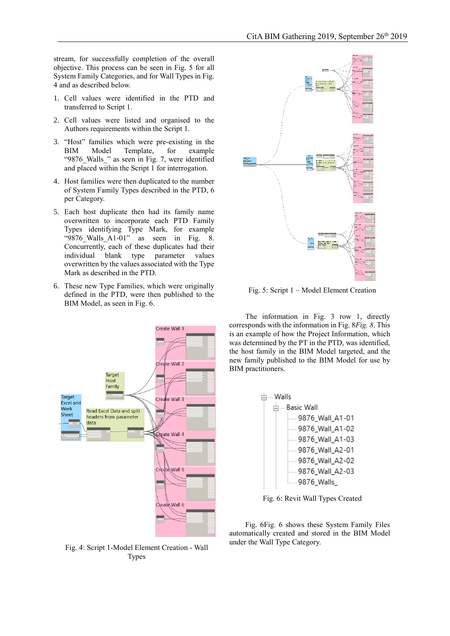stream, for successfully completion of the overall objective. This process can be seen in [Fig. 5](#page-8-0) for all System Family Categories, and for Wall Types in [Fig.](#page-8-1)  [4](#page-8-1) and as described below.

- 1. Cell values were identified in the PTD and transferred to Script 1.
- 2. Cell values were listed and organised to the Authors requirements within the Script 1.
- 3. "Host" families which were pre-existing in the BIM Model Template, for example "9876\_Walls\_" as seen in [Fig. 7,](#page-9-0) were identified and placed within the Script 1 for interrogation.
- 4. Host families were then duplicated to the number of System Family Types described in the PTD, 6 per Category.
- 5. Each host duplicate then had its family name overwritten to incorporate each PTD Family Types identifying Type Mark, for example "9876\_Walls\_A1-01" as seen in [Fig. 8.](#page-9-1)  Concurrently, each of these duplicates had their individual blank type parameter values overwritten by the values associated with the Type Mark as described in the PTD.
- 6. These new Type Families, which were originally defined in the PTD, were then published to the BIM Model, as seen in [Fig. 6.](#page-8-2)



<span id="page-8-1"></span>Fig. 4: Script 1-Model Element Creation - Wall Types



<span id="page-8-0"></span>Fig. 5: Script 1 – Model Element Creation

The information in [Fig. 3](#page-7-0) row 1, directly corresponds with the information i[n Fig. 8](#page-9-1)*[Fig. 8](#page-9-1)*. This is an example of how the Project Information, which was determined by the PT in the PTD, was identified, the host family in the BIM Model targeted, and the new family published to the BIM Model for use by BIM practitioners.

| ∃… Walls          |  |  |  |  |  |
|-------------------|--|--|--|--|--|
| ⊫— Basic Wall     |  |  |  |  |  |
| 9876_Wall_A1-01   |  |  |  |  |  |
| 9876_Wall_A1-02   |  |  |  |  |  |
| 9876_Wall_A1-03   |  |  |  |  |  |
| 9876 Wall A2-01   |  |  |  |  |  |
| 9876_Wall_A2-02   |  |  |  |  |  |
| 9876_Wall_A2-03   |  |  |  |  |  |
| <b>9876 Walls</b> |  |  |  |  |  |
|                   |  |  |  |  |  |

Fig. 6: Revit Wall Types Created

<span id="page-8-2"></span>[Fig. 6Fig. 6](#page-8-2) shows these System Family Files automatically created and stored in the BIM Model under the Wall Type Category.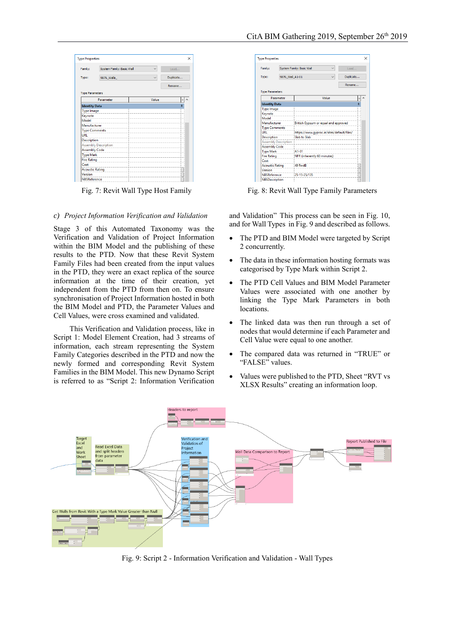| <b>Type Properties</b> |                             |       | ×         |
|------------------------|-----------------------------|-------|-----------|
| Family:                | System Family: Basic Wall   |       | Load      |
| Type:                  | 9876 Walls                  |       | Duplicate |
|                        |                             |       | Rename    |
| <b>Type Parameters</b> |                             |       |           |
|                        | Parameter                   | Value | Ξ         |
| <b>Identity Data</b>   |                             |       | A         |
| <b>Type Image</b>      |                             |       |           |
| Keynote                |                             |       |           |
| Model                  |                             |       |           |
| Manufacturer           |                             |       |           |
| <b>Type Comments</b>   |                             |       |           |
| URI                    |                             |       |           |
| <b>Description</b>     |                             |       |           |
|                        | <b>Assembly Description</b> |       |           |
| <b>Assembly Code</b>   |                             |       |           |
| <b>Type Mark</b>       |                             |       |           |
| <b>Fire Rating</b>     |                             |       |           |
| Cost                   |                             |       |           |
| <b>Acoustic Rating</b> |                             |       |           |
| Version                |                             |       |           |
|                        | NBSReference                |       |           |

<span id="page-9-0"></span>

#### *c) Project Information Verification and Validation*

Stage 3 of this Automated Taxonomy was the Verification and Validation of Project Information within the BIM Model and the publishing of these results to the PTD. Now that these Revit System Family Files had been created from the input values in the PTD, they were an exact replica of the source information at the time of their creation, yet independent from the PTD from then on. To ensure synchronisation of Project Information hosted in both the BIM Model and PTD, the Parameter Values and Cell Values, were cross examined and validated.

This Verification and Validation process, like in Script 1: Model Element Creation, had 3 streams of information, each stream representing the System Family Categories described in the PTD and now the newly formed and corresponding Revit System Families in the BIM Model. This new Dynamo Script is referred to as "Script 2: Information Verification

| <b>Type Properties</b>      |                 |                                            | × |
|-----------------------------|-----------------|--------------------------------------------|---|
| Family:                     |                 | System Family: Basic Wall<br>Load          |   |
| Type:                       | 9876 Wall A1-01 | Duplicate                                  |   |
|                             |                 | Rename                                     |   |
| <b>Type Parameters</b>      |                 |                                            |   |
| Parameter                   |                 | Value                                      |   |
| <b>Identity Data</b>        |                 |                                            | A |
| <b>Type Image</b>           |                 |                                            |   |
| Keynote                     |                 |                                            |   |
| Model                       |                 |                                            |   |
| Manufacturer                |                 | British Gypsum or equal and approved       |   |
| <b>Type Comments</b>        |                 |                                            |   |
| URI                         |                 | https://www.gyproc.ie/sites/default/files/ |   |
| <b>Description</b>          |                 | <b>Slab to Slab</b>                        |   |
| <b>Assembly Description</b> |                 |                                            |   |
| <b>Assembly Code</b>        |                 |                                            |   |
| <b>Type Mark</b>            |                 | $A1 - 01$                                  |   |
| <b>Fire Rating</b>          |                 | NFR (inherently 60 minutes)                |   |
| Cost                        |                 |                                            |   |
| <b>Acoustic Rating</b>      |                 | 49 RwdB                                    |   |
| Version                     |                 |                                            |   |
| <b>NBSReference</b>         |                 | 25-15-25/135                               |   |
| <b>NBSDescription</b>       |                 |                                            |   |

Fig. 7: Revit Wall Type Host Family Fig. 8: Revit Wall Type Family Parameters

<span id="page-9-1"></span>and Validation" This process can be seen in [Fig. 10,](#page-10-0) and for Wall Types i[n Fig. 9](#page-9-2) and described as follows.

- The PTD and BIM Model were targeted by Script 2 concurrently.
- The data in these information hosting formats was categorised by Type Mark within Script 2.
- The PTD Cell Values and BIM Model Parameter Values were associated with one another by linking the Type Mark Parameters in both locations.
- The linked data was then run through a set of nodes that would determine if each Parameter and Cell Value were equal to one another.
- The compared data was returned in "TRUE" or "FALSE" values.
- Values were published to the PTD, Sheet "RVT vs XLSX Results" creating an information loop.



<span id="page-9-2"></span>Fig. 9: Script 2 - Information Verification and Validation - Wall Types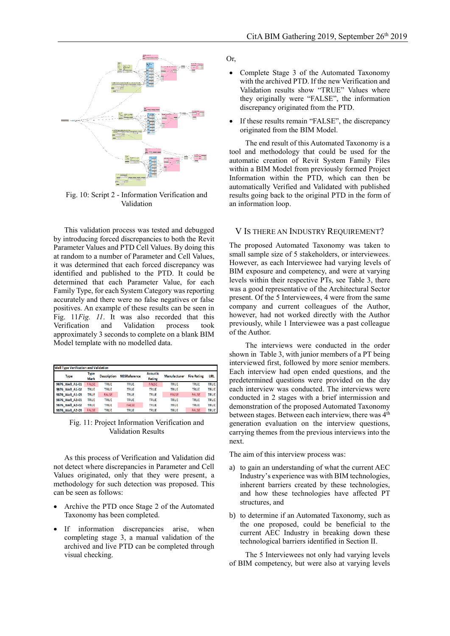

<span id="page-10-0"></span>Fig. 10: Script 2 - Information Verification and Validation

This validation process was tested and debugged by introducing forced discrepancies to both the Revit Parameter Values and PTD Cell Values. By doing this at random to a number of Parameter and Cell Values, it was determined that each forced discrepancy was identified and published to the PTD. It could be determined that each Parameter Value, for each Family Type, for each System Category was reporting accurately and there were no false negatives or false positives. An example of these results can be seen in [Fig. 11](#page-10-1)*[Fig. 11](#page-10-1)*. It was also recorded that this Verification and Validation process took approximately 3 seconds to complete on a blank BIM Model template with no modelled data.

| <b>Wall Type Verification and Validation</b> |              |                    |                     |              |                     |                    |             |
|----------------------------------------------|--------------|--------------------|---------------------|--------------|---------------------|--------------------|-------------|
| <b>Type</b>                                  | Type         | <b>Description</b> | <b>NBSReference</b> | Acoustic     | <b>Manufacturer</b> | <b>Fire Rating</b> | <b>URL</b>  |
|                                              | Mark         |                    |                     | Rating       |                     |                    |             |
| 9876 Wall A1-01                              | <b>FALSE</b> | TRUE               | <b>TRUE</b>         | <b>FALSE</b> | <b>TRUE</b>         | <b>TRUE</b>        | <b>TRUE</b> |
| 9876 Wall A1-02                              | <b>TRUE</b>  | <b>TRUE</b>        | <b>TRUE</b>         | <b>TRUE</b>  | <b>TRUE</b>         | <b>TRUE</b>        | <b>TRUE</b> |
| 9876 Wall A1-03                              | TRUE         | <b>FALSE</b>       | <b>TRUE</b>         | <b>TRUE</b>  | <b>FALSE</b>        | <b>FALSE</b>       | <b>TRUE</b> |
| 9876 Wall A2-01                              | <b>TRUE</b>  | <b>TRUE</b>        | <b>TRUE</b>         | <b>TRUE</b>  | <b>TRUE</b>         | <b>TRUE</b>        | <b>TRUE</b> |
| 9876 Wall A2-02                              | TRUE         | TRUE               | <b>FALSE</b>        | <b>TRUE</b>  | <b>TRUE</b>         | <b>TRUE</b>        | <b>TRUE</b> |
| 9876 Wall A2-03                              | <b>FALSE</b> | <b>TRUE</b>        | <b>TRUE</b>         | <b>TRUE</b>  | <b>TRUE</b>         | <b>FALSE</b>       | <b>TRUE</b> |

<span id="page-10-1"></span>Fig. 11: Project Information Verification and Validation Results

As this process of Verification and Validation did not detect where discrepancies in Parameter and Cell Values originated, only that they were present, a methodology for such detection was proposed. This can be seen as follows:

- Archive the PTD once Stage 2 of the Automated Taxonomy has been completed.
- If information discrepancies arise, when completing stage 3, a manual validation of the archived and live PTD can be completed through visual checking.

Or,

- Complete Stage 3 of the Automated Taxonomy with the archived PTD. If the new Verification and Validation results show "TRUE" Values where they originally were "FALSE", the information discrepancy originated from the PTD.
- If these results remain "FALSE", the discrepancy originated from the BIM Model.

The end result of this Automated Taxonomy is a tool and methodology that could be used for the automatic creation of Revit System Family Files within a BIM Model from previously formed Project Information within the PTD, which can then be automatically Verified and Validated with published results going back to the original PTD in the form of an information loop.

## V IS THERE AN INDUSTRY REQUIREMENT?

The proposed Automated Taxonomy was taken to small sample size of 5 stakeholders, or interviewees. However, as each Interviewee had varying levels of BIM exposure and competency, and were at varying levels within their respective PTs, see [Table 3,](#page-11-0) there was a good representative of the Architectural Sector present. Of the 5 Interviewees, 4 were from the same company and current colleagues of the Author, however, had not worked directly with the Author previously, while 1 Interviewee was a past colleague of the Author.

The interviews were conducted in the order shown in [Table 3,](#page-11-0) with junior members of a PT being interviewed first, followed by more senior members. Each interview had open ended questions, and the predetermined questions were provided on the day each interview was conducted. The interviews were conducted in 2 stages with a brief intermission and demonstration of the proposed Automated Taxonomy between stages. Between each interview, there was 4<sup>th</sup> generation evaluation on the interview questions, carrying themes from the previous interviews into the next.

The aim of this interview process was:

- a) to gain an understanding of what the current AEC Industry's experience was with BIM technologies, inherent barriers created by these technologies, and how these technologies have affected PT structures, and
- b) to determine if an Automated Taxonomy, such as the one proposed, could be beneficial to the current AEC Industry in breaking down these technological barriers identified in Section II.

The 5 Interviewees not only had varying levels of BIM competency, but were also at varying levels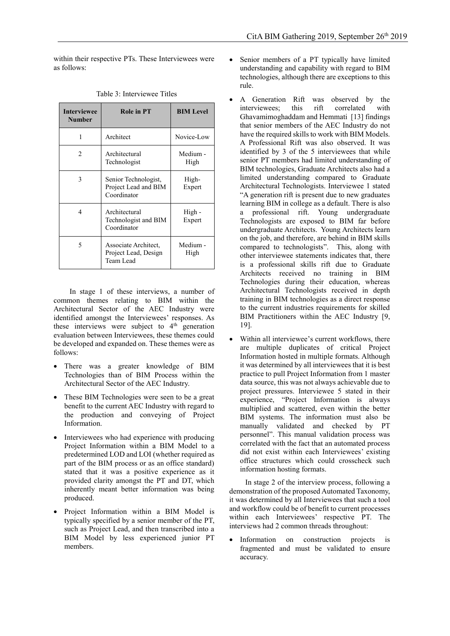within their respective PTs. These Interviewees were as follows:

<span id="page-11-0"></span>

| <b>Interviewee</b><br><b>Number</b> | <b>Role in PT</b>                                           | <b>BIM Level</b> |  |
|-------------------------------------|-------------------------------------------------------------|------------------|--|
| 1                                   | Architect                                                   | Novice-Low       |  |
| 2                                   | Architectural<br>Technologist                               | Medium -<br>High |  |
| 3                                   | Senior Technologist,<br>Project Lead and BIM<br>Coordinator | High-<br>Expert  |  |
| 4                                   | Architectural<br>Technologist and BIM<br>Coordinator        | High-<br>Expert  |  |
| 5                                   | Associate Architect,<br>Project Lead, Design<br>Team Lead   | Medium -<br>High |  |

Table 3: Interviewee Titles

In stage 1 of these interviews, a number of common themes relating to BIM within the Architectural Sector of the AEC Industry were identified amongst the Interviewees' responses. As these interviews were subject to  $4<sup>th</sup>$  generation evaluation between Interviewees, these themes could be developed and expanded on. These themes were as follows:

- There was a greater knowledge of BIM Technologies than of BIM Process within the Architectural Sector of the AEC Industry.
- These BIM Technologies were seen to be a great benefit to the current AEC Industry with regard to the production and conveying of Project Information.
- Interviewees who had experience with producing Project Information within a BIM Model to a predetermined LOD and LOI (whether required as part of the BIM process or as an office standard) stated that it was a positive experience as it provided clarity amongst the PT and DT, which inherently meant better information was being produced.
- Project Information within a BIM Model is typically specified by a senior member of the PT, such as Project Lead, and then transcribed into a BIM Model by less experienced junior PT members.
- Senior members of a PT typically have limited understanding and capability with regard to BIM technologies, although there are exceptions to this rule.
- A Generation Rift was observed by the interviewees; this rift correlated with Ghavamimoghaddam and Hemmati [13] findings that senior members of the AEC Industry do not have the required skills to work with BIM Models. A Professional Rift was also observed. It was identified by 3 of the 5 interviewees that while senior PT members had limited understanding of BIM technologies, Graduate Architects also had a limited understanding compared to Graduate Architectural Technologists. Interviewee 1 stated "A generation rift is present due to new graduates learning BIM in college as a default. There is also a professional rift. Young undergraduate Technologists are exposed to BIM far before undergraduate Architects. Young Architects learn on the job, and therefore, are behind in BIM skills compared to technologists". This, along with other interviewee statements indicates that, there is a professional skills rift due to Graduate Architects received no training in BIM Technologies during their education, whereas Architectural Technologists received in depth training in BIM technologies as a direct response to the current industries requirements for skilled BIM Practitioners within the AEC Industry [9, 19].
- Within all interviewee's current workflows, there are multiple duplicates of critical Project Information hosted in multiple formats. Although it was determined by all interviewees that it is best practice to pull Project Information from 1 master data source, this was not always achievable due to project pressures. Interviewee 5 stated in their experience, "Project Information is always multiplied and scattered, even within the better BIM systems. The information must also be manually validated and checked by PT personnel". This manual validation process was correlated with the fact that an automated process did not exist within each Interviewees' existing office structures which could crosscheck such information hosting formats.

In stage 2 of the interview process, following a demonstration of the proposed Automated Taxonomy, it was determined by all Interviewees that such a tool and workflow could be of benefit to current processes within each Interviewees' respective PT. The interviews had 2 common threads throughout:

• Information on construction projects is fragmented and must be validated to ensure accuracy.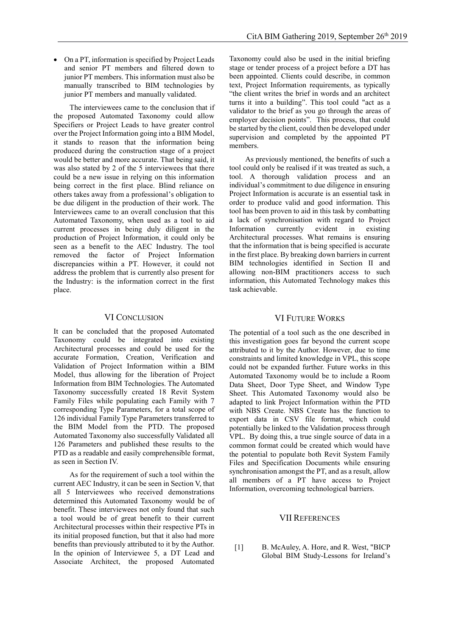• On a PT, information is specified by Project Leads and senior PT members and filtered down to junior PT members. This information must also be manually transcribed to BIM technologies by junior PT members and manually validated.

The interviewees came to the conclusion that if the proposed Automated Taxonomy could allow Specifiers or Project Leads to have greater control over the Project Information going into a BIM Model, it stands to reason that the information being produced during the construction stage of a project would be better and more accurate. That being said, it was also stated by 2 of the 5 interviewees that there could be a new issue in relying on this information being correct in the first place. Blind reliance on others takes away from a professional's obligation to be due diligent in the production of their work. The Interviewees came to an overall conclusion that this Automated Taxonomy, when used as a tool to aid current processes in being duly diligent in the production of Project Information, it could only be seen as a benefit to the AEC Industry. The tool removed the factor of Project Information discrepancies within a PT. However, it could not address the problem that is currently also present for the Industry: is the information correct in the first place.

## VI CONCLUSION

It can be concluded that the proposed Automated Taxonomy could be integrated into existing Architectural processes and could be used for the accurate Formation, Creation, Verification and Validation of Project Information within a BIM Model, thus allowing for the liberation of Project Information from BIM Technologies. The Automated Taxonomy successfully created 18 Revit System Family Files while populating each Family with 7 corresponding Type Parameters, for a total scope of 126 individual Family Type Parameters transferred to the BIM Model from the PTD. The proposed Automated Taxonomy also successfully Validated all 126 Parameters and published these results to the PTD as a readable and easily comprehensible format, as seen in Section IV.

As for the requirement of such a tool within the current AEC Industry, it can be seen in Section V, that all 5 Interviewees who received demonstrations determined this Automated Taxonomy would be of benefit. These interviewees not only found that such a tool would be of great benefit to their current Architectural processes within their respective PTs in its initial proposed function, but that it also had more benefits than previously attributed to it by the Author. In the opinion of Interviewee 5, a DT Lead and Associate Architect, the proposed Automated

Taxonomy could also be used in the initial briefing stage or tender process of a project before a DT has been appointed. Clients could describe, in common text, Project Information requirements, as typically "the client writes the brief in words and an architect turns it into a building". This tool could "act as a validator to the brief as you go through the areas of employer decision points". This process, that could be started by the client, could then be developed under supervision and completed by the appointed PT members.

As previously mentioned, the benefits of such a tool could only be realised if it was treated as such, a tool. A thorough validation process and an individual's commitment to due diligence in ensuring Project Information is accurate is an essential task in order to produce valid and good information. This tool has been proven to aid in this task by combatting a lack of synchronisation with regard to Project Information currently evident in existing Architectural processes. What remains is ensuring that the information that is being specified is accurate in the first place. By breaking down barriers in current BIM technologies identified in Section II and allowing non-BIM practitioners access to such information, this Automated Technology makes this task achievable.

## VI FUTURE WORKS

The potential of a tool such as the one described in this investigation goes far beyond the current scope attributed to it by the Author. However, due to time constraints and limited knowledge in VPL, this scope could not be expanded further. Future works in this Automated Taxonomy would be to include a Room Data Sheet, Door Type Sheet, and Window Type Sheet. This Automated Taxonomy would also be adapted to link Project Information within the PTD with NBS Create. NBS Create has the function to export data in CSV file format, which could potentially be linked to the Validation process through VPL. By doing this, a true single source of data in a common format could be created which would have the potential to populate both Revit System Family Files and Specification Documents while ensuring synchronisation amongst the PT, and as a result, allow all members of a PT have access to Project Information, overcoming technological barriers.

## VII REFERENCES

[1] B. McAuley, A. Hore, and R. West, "BICP Global BIM Study-Lessons for Ireland's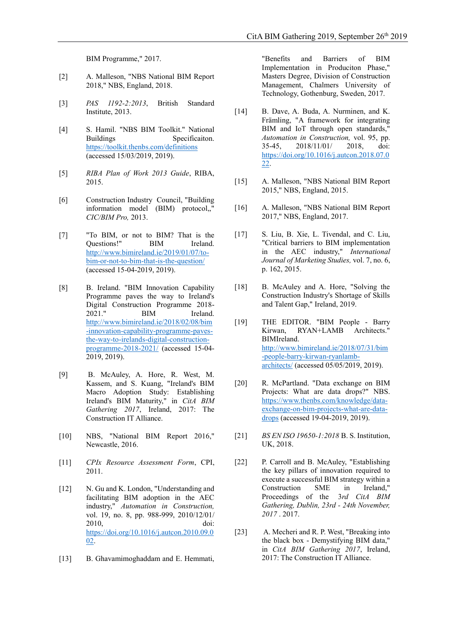BIM Programme," 2017.

- [2] A. Malleson, "NBS National BIM Report 2018," NBS, England, 2018.
- [3] *PAS 1192-2:2013*, British Standard Institute, 2013.
- [4] S. Hamil. "NBS BIM Toolkit." National Buildings Specificaiton. <https://toolkit.thenbs.com/definitions> (accessed 15/03/2019, 2019).
- [5] *RIBA Plan of Work 2013 Guide*, RIBA, 2015.
- [6] Construction Industry Council, "Building information model (BIM) protocol,," *CIC/BIM Pro,* 2013.
- [7] "To BIM, or not to BIM? That is the Questions!" BIM Ireland. [http://www.bimireland.ie/2019/01/07/to](http://www.bimireland.ie/2019/01/07/to-bim-or-not-to-bim-that-is-the-question/)[bim-or-not-to-bim-that-is-the-question/](http://www.bimireland.ie/2019/01/07/to-bim-or-not-to-bim-that-is-the-question/) (accessed 15-04-2019, 2019).
- [8] B. Ireland. "BIM Innovation Capability Programme paves the way to Ireland's Digital Construction Programme 2018- 2021." BIM Ireland. [http://www.bimireland.ie/2018/02/08/bim](http://www.bimireland.ie/2018/02/08/bim-innovation-capability-programme-paves-the-way-to-irelands-digital-construction-programme-2018-2021/) [-innovation-capability-programme-paves](http://www.bimireland.ie/2018/02/08/bim-innovation-capability-programme-paves-the-way-to-irelands-digital-construction-programme-2018-2021/)[the-way-to-irelands-digital-construction](http://www.bimireland.ie/2018/02/08/bim-innovation-capability-programme-paves-the-way-to-irelands-digital-construction-programme-2018-2021/)[programme-2018-2021/](http://www.bimireland.ie/2018/02/08/bim-innovation-capability-programme-paves-the-way-to-irelands-digital-construction-programme-2018-2021/) (accessed 15-04- 2019, 2019).
- [9] B. McAuley, A. Hore, R. West, M. Kassem, and S. Kuang, "Ireland's BIM Macro Adoption Study: Establishing Ireland's BIM Maturity," in *CitA BIM Gathering 2017*, Ireland, 2017: The Construction IT Alliance.
- [10] NBS, "National BIM Report 2016," Newcastle, 2016.
- [11] *CPIx Resource Assessment Form*, CPI, 2011.
- [12] N. Gu and K. London, "Understanding and facilitating BIM adoption in the AEC industry," *Automation in Construction,*  vol. 19, no. 8, pp. 988-999, 2010/12/01/ 2010, doi: [https://doi.org/10.1016/j.autcon.2010.09.0](https://doi.org/10.1016/j.autcon.2010.09.002) [02.](https://doi.org/10.1016/j.autcon.2010.09.002)
- [13] B. Ghavamimoghaddam and E. Hemmati,

"Benefits and Barriers of BIM Implementation in Produciton Phase," Masters Degree, Division of Construction Management, Chalmers University of Technology, Gothenburg, Sweden, 2017.

- [14] B. Dave, A. Buda, A. Nurminen, and K. Främling, "A framework for integrating BIM and IoT through open standards," *Automation in Construction,* vol. 95, pp. 35-45, 2018/11/01/ 2018, doi: [https://doi.org/10.1016/j.autcon.2018.07.0](https://doi.org/10.1016/j.autcon.2018.07.022) [22.](https://doi.org/10.1016/j.autcon.2018.07.022)
- [15] A. Malleson, "NBS National BIM Report 2015," NBS, England, 2015.
- [16] A. Malleson, "NBS National BIM Report 2017," NBS, England, 2017.
- [17] S. Liu, B. Xie, L. Tivendal, and C. Liu, "Critical barriers to BIM implementation in the AEC industry," *International Journal of Marketing Studies,* vol. 7, no. 6, p. 162, 2015.
- [18] B. McAuley and A. Hore, "Solving the Construction Industry's Shortage of Skills and Talent Gap," Ireland, 2019.
- [19] THE EDITOR. "BIM People Barry Kirwan, RYAN+LAMB Architects." BIMIreland. [http://www.bimireland.ie/2018/07/31/bim](http://www.bimireland.ie/2018/07/31/bim-people-barry-kirwan-ryanlamb-architects/) [-people-barry-kirwan-ryanlamb](http://www.bimireland.ie/2018/07/31/bim-people-barry-kirwan-ryanlamb-architects/)[architects/](http://www.bimireland.ie/2018/07/31/bim-people-barry-kirwan-ryanlamb-architects/) (accessed 05/05/2019, 2019).
- [20] R. McPartland. "Data exchange on BIM Projects: What are data drops?" NBS. [https://www.thenbs.com/knowledge/data](https://www.thenbs.com/knowledge/data-exchange-on-bim-projects-what-are-data-drops)[exchange-on-bim-projects-what-are-data](https://www.thenbs.com/knowledge/data-exchange-on-bim-projects-what-are-data-drops)[drops](https://www.thenbs.com/knowledge/data-exchange-on-bim-projects-what-are-data-drops) (accessed 19-04-2019, 2019).
- [21] *BS EN ISO 19650-1:2018* B. S. Institution, UK, 2018.
- [22] P. Carroll and B. McAuley, "Establishing the key pillars of innovation required to execute a successful BIM strategy within a Construction SME in Ireland," Proceedings of the 3*rd CitA BIM Gathering, Dublin, 23rd - 24th November, 2017* . 2017.
- [23] A. Mecheri and R. P. West, "Breaking into the black box - Demystifying BIM data," in *CitA BIM Gathering 2017*, Ireland, 2017: The Construction IT Alliance.